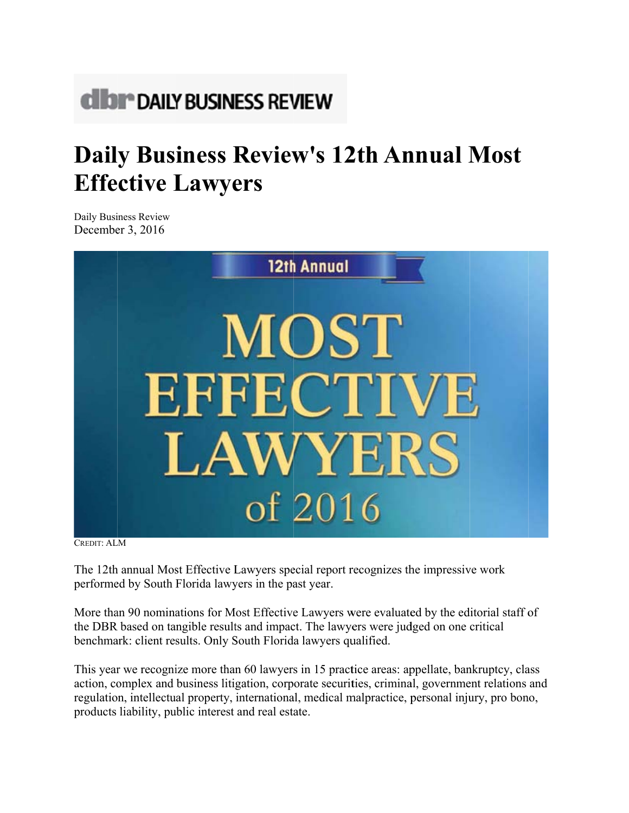# **dibr** DAILY BUSINESS REVIEW

## **Daily Business Review's 12th Annual Most Effective Lawyers**

Daily Business Review December  $3, 2016$ 



**CREDIT: ALM** 

The 12th annual Most Effective Lawyers special report recognizes the impressive work performed by South Florida lawyers in the past year.

More than 90 nominations for Most Effective Lawyers were evaluated by the editorial staff of the DBR based on tangible results and impact. The lawyers were judged on one critical benchmark: client results. Only South Florida lawyers qualified.

This year we recognize more than 60 lawyers in 15 practice areas: appellate, bankruptcy, class action, complex and business litigation, corporate securities, criminal, government relations and regulation, intellectual property, international, medical malpractice, personal injury, pro bono, products liability, public interest and real estate.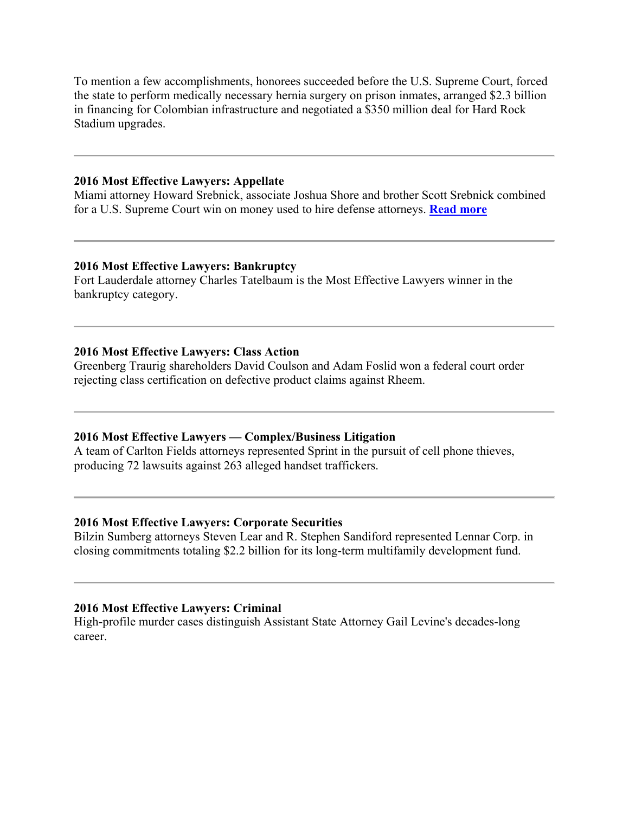To mention a few accomplishments, honorees succeeded before the U.S. Supreme Court, forced the state to perform medically necessary hernia surgery on prison inmates, arranged \$2.3 billion in financing for Colombian infrastructure and negotiated a \$350 million deal for Hard Rock Stadium upgrades.

#### **2016 Most Effective Lawyers: Appellate**

Miami attorney Howard Srebnick, associate Joshua Shore and brother Scott Srebnick combined for a U.S. Supreme Court win on money used to hire defense attorneys. **[Read more](/www.royblack.com/files/Awards%20and%20Recognition/2016%20Most%20Effective%20Lawyers.pdf)**

## **2016 Most Effective Lawyers: Bankruptcy**

Fort Lauderdale attorney Charles Tatelbaum is the Most Effective Lawyers winner in the bankruptcy category.

## **2016 Most Effective Lawyers: Class Action**

Greenberg Traurig shareholders David Coulson and Adam Foslid won a federal court order rejecting class certification on defective product claims against Rheem.

## **2016 Most Effective Lawyers — Complex/Business Litigation**

A team of Carlton Fields attorneys represented Sprint in the pursuit of cell phone thieves, producing 72 lawsuits against 263 alleged handset traffickers.

## **2016 Most Effective Lawyers: Corporate Securities**

Bilzin Sumberg attorneys Steven Lear and R. Stephen Sandiford represented Lennar Corp. in closing commitments totaling \$2.2 billion for its long-term multifamily development fund.

## **2016 Most Effective Lawyers: Criminal**

High-profile murder cases distinguish Assistant State Attorney Gail Levine's decades-long career.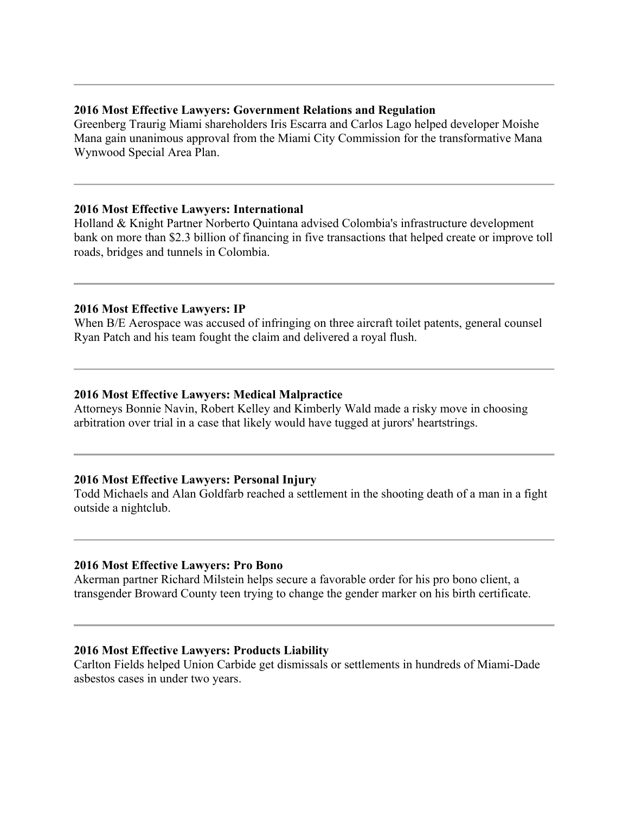#### **2016 Most Effective Lawyers: Government Relations and Regulation**

Greenberg Traurig Miami shareholders Iris Escarra and Carlos Lago helped developer Moishe Mana gain unanimous approval from the Miami City Commission for the transformative Mana Wynwood Special Area Plan.

#### **2016 Most Effective Lawyers: International**

Holland & Knight Partner Norberto Quintana advised Colombia's infrastructure development bank on more than \$2.3 billion of financing in five transactions that helped create or improve toll roads, bridges and tunnels in Colombia.

#### **2016 Most Effective Lawyers: IP**

When B/E Aerospace was accused of infringing on three aircraft toilet patents, general counsel Ryan Patch and his team fought the claim and delivered a royal flush.

#### **2016 Most Effective Lawyers: Medical Malpractice**

Attorneys Bonnie Navin, Robert Kelley and Kimberly Wald made a risky move in choosing arbitration over trial in a case that likely would have tugged at jurors' heartstrings.

## **2016 Most Effective Lawyers: Personal Injury**

Todd Michaels and Alan Goldfarb reached a settlement in the shooting death of a man in a fight outside a nightclub.

## **2016 Most Effective Lawyers: Pro Bono**

Akerman partner Richard Milstein helps secure a favorable order for his pro bono client, a transgender Broward County teen trying to change the gender marker on his birth certificate.

## **2016 Most Effective Lawyers: Products Liability**

Carlton Fields helped Union Carbide get dismissals or settlements in hundreds of Miami-Dade asbestos cases in under two years.